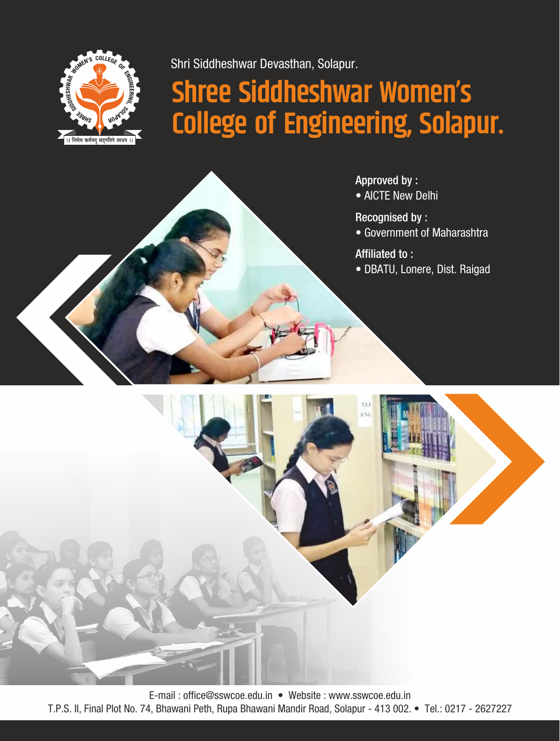

Shri Siddheshwar Devasthan, Solapur.

# **Shree Siddheshwar Women's College of Engineering, Solapur.**



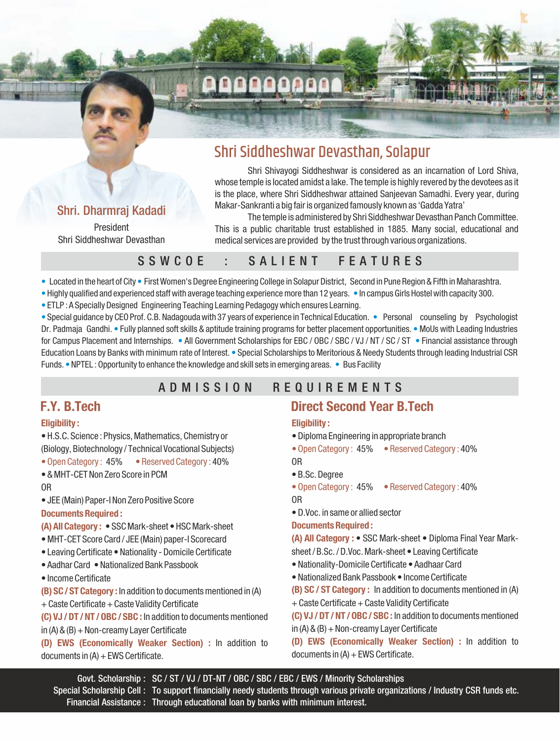# QQQQQQQQ

# Shri Siddheshwar Devasthan, Solapur

Shri Shivayogi Siddheshwar is considered as an incarnation of Lord Shiva, whose temple is located amidst a lake. The temple is highly revered by the devotees as it is the place, where Shri Siddheshwar attained Sanjeevan Samadhi. Every year, during Makar-Sankranti a big fair is organized famously known as 'Gadda Yatra'

The temple is administered by Shri Siddheshwar Devasthan Panch Committee. This is a public charitable trust established in 1885. Many social, educational and medical services are provided by the trust through various organizations.

# S S W C O E : S A LIENT FEATURES

• Located in the heart of City • First Women's Degree Engineering College in Solapur District, Second in Pune Region & Fifth in Maharashtra.

• Highly qualified and experienced staff with average teaching experience more than 12 years. • In campus Girls Hostel with capacity 300.

• ETLP : A Specially Designed Engineering Teaching Learning Pedagogy which ensures Learning.

• Special guidance by CEO Prof. C.B. Nadagouda with 37 years of experience in Technical Education. • Personal counseling by Psychologist Dr. Padmaja Gandhi. • Fully planned soft skills & aptitude training programs for better placement opportunities. • MoUs with Leading Industries for Campus Placement and Internships. • All Government Scholarships for EBC / OBC / SBC / VJ / NT / SC / ST • Financial assistance through Education Loans by Banks with minimum rate of Interest. • Special Scholarships to Meritorious & Needy Students through leading Industrial CSR Funds. • NPTEL: Opportunity to enhance the knowledge and skill sets in emerging areas. • Bus Facility

# A D M I S S I O N R E Q U I R E M E N T S

# **F.Y. B.Tech**

### **Eligibility :**

- H.S.C. Science : Physics, Mathematics, Chemistry or (Biology, Biotechnology / Technical Vocational Subjects)
- Open Category: 45% Reserved Category: 40%
- & MHT-CET Non Zero Score in PCM

# OR

- JEE (Main) Paper-I Non Zero Positive Score **Documents Required :**
- **(A) All Category :**  SSC Mark-sheet HSC Mark-sheet
- MHT-CET Score Card / JEE (Main) paper-I Scorecard
- Leaving Certificate Nationality Domicile Certificate
- Aadhar Card Nationalized Bank Passbook
- Income Certificate

**(B) SC / ST Category :** In addition to documents mentioned in (A) + Caste Certificate + Caste Validity Certificate

**(C) VJ / DT / NT / OBC / SBC :** In addition to documents mentioned in  $(A)$  &  $(B)$  + Non-creamy Layer Certificate

**(D) EWS (Economically Weaker Section) :** In addition to documents in  $(A)$  + EWS Certificate.

# **Direct Second Year B.Tech**

# **Eligibility :**

- Diploma Engineering in appropriate branch
- Open Category : 45% Reserved Category : 40% OR
- B.Sc. Degree
- Open Category : 45% Reserved Category : 40%
- OR
- D.Voc. in same or allied sector

### **Documents Required :**

**(A) All Category :** • SSC Mark-sheet • Diploma Final Year Marksheet / B.Sc. / D.Voc. Mark-sheet • Leaving Certificate

- Nationality-Domicile Certificate Aadhaar Card
- Nationalized Bank Passbook Income Certificate

**(B) SC / ST Category :** In addition to documents mentioned in (A) + Caste Certificate + Caste Validity Certificate

**(C) VJ / DT / NT / OBC / SBC :** In addition to documents mentioned in (A) & (B) + Non-creamy Layer Certificate

**(D) EWS (Economically Weaker Section) :** In addition to documents in  $(A)$  + EWS Certificate.

Govt. Scholarship : SC / ST / VJ / DT-NT / OBC / SBC / EBC / EWS / Minority Scholarships Special Scholarship Cell : To support financially needy students through various private organizations / Industry CSR funds etc. Financial Assistance : Through educational loan by banks with minimum interest.

# Shri. Dharmraj Kadadi

President Shri Siddheshwar Devasthan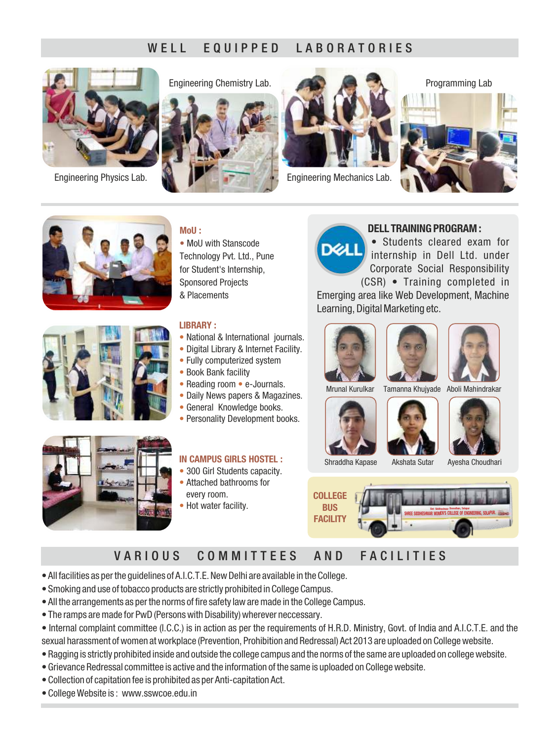# W E LL E Q UI P P E D LABORATORIES

















### **LIBRARY :**

- National & International journals.
- Digital Library & Internet Facility.
- Fully computerized system
- Book Bank facility
- Reading room e-Journals.
- Daily News papers & Magazines.
- General Knowledge books.
- Personality Development books.



### **IN CAMPUS GIRLS HOSTEL :**

- 300 Girl Students capacity.
- Attached bathrooms for every room.
- Hot water facility.



### **DELL TRAINING PROGRAM :**

• Students cleared exam for internship in Dell Ltd. under Corporate Social Responsibility

(CSR) • Training completed in Emerging area like Web Development, Machine Learning, Digital Marketing etc.







Mrunal Kurulkar Tamanna Khujyade Aboli Mahindrakar







Shraddha Kapase Akshata Sutar Ayesha Choudhari



# VARIOUS COMMITTEES AND FACILITIES

- All facilities as per the guidelines of A.I.C.T.E. New Delhi are available in the College.
- Smoking and use of tobacco products are strictly prohibited in College Campus.
- All the arrangements as per the norms of fire safety law are made in the College Campus.
- The ramps are made for PwD (Persons with Disability) wherever neccessary.
- Internal complaint committee (I.C.C.) is in action as per the requirements of H.R.D. Ministry, Govt. of India and A.I.C.T.E. and the sexual harassment of women at workplace (Prevention, Prohibition and Redressal) Act 2013 are uploaded on College website.
- Ragging is strictly prohibited inside and outside the college campus and the norms of the same are uploaded on college website.
- Grievance Redressal committee is active and the information of the same is uploaded on College website.
- Collection of capitation fee is prohibited as per Anti-capitation Act.
- College Website is : www.sswcoe.edu.in